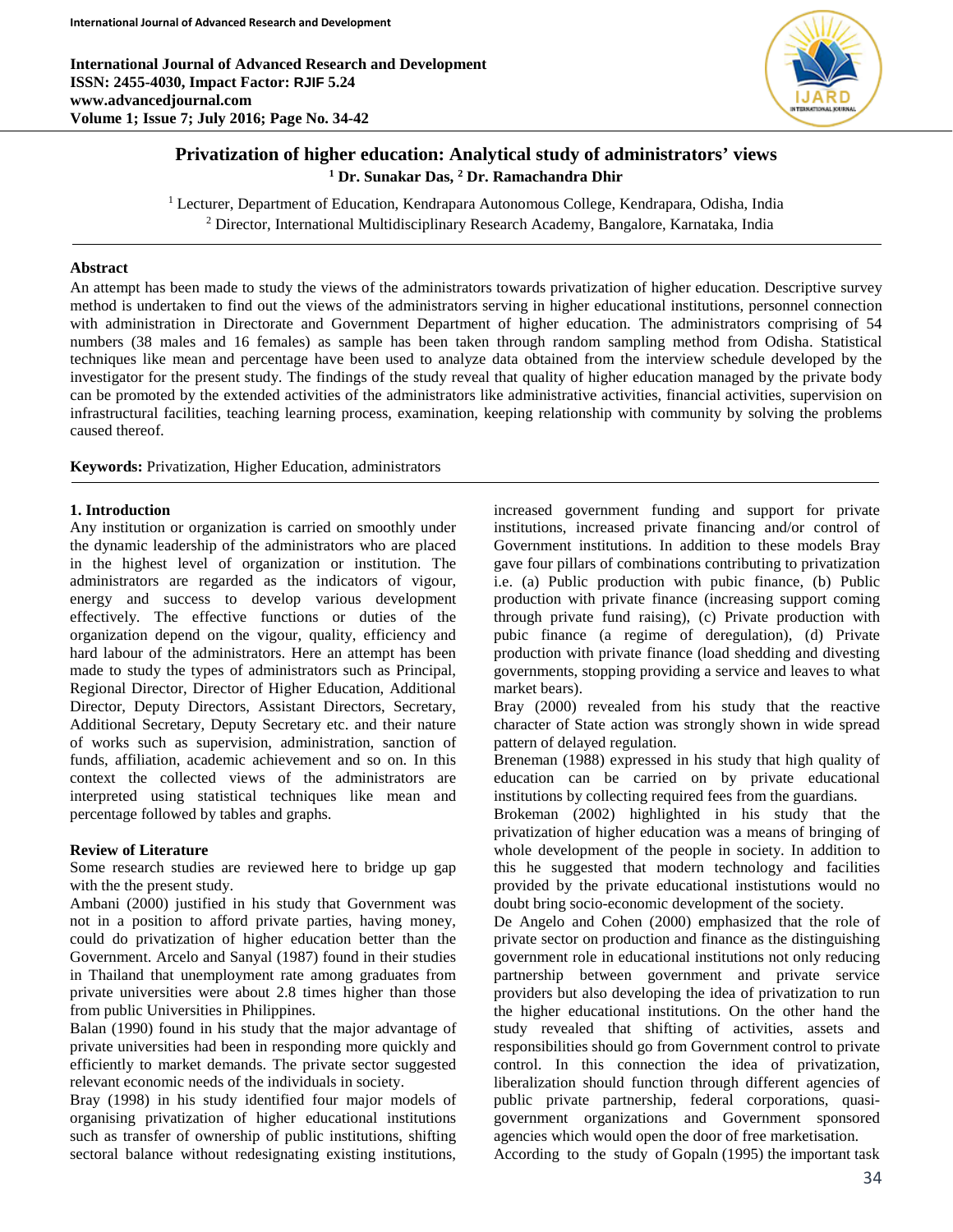**International Journal of Advanced Research and Development ISSN: 2455-4030, Impact Factor: RJIF 5.24 www.advancedjournal.com Volume 1; Issue 7; July 2016; Page No. 34-42**



# **Privatization of higher education: Analytical study of administrators' views <sup>1</sup> Dr. Sunakar Das, 2 Dr. Ramachandra Dhir**

<sup>1</sup> Lecturer, Department of Education, Kendrapara Autonomous College, Kendrapara, Odisha, India <sup>2</sup> Director, International Multidisciplinary Research Academy, Bangalore, Karnataka, India

## **Abstract**

An attempt has been made to study the views of the administrators towards privatization of higher education. Descriptive survey method is undertaken to find out the views of the administrators serving in higher educational institutions, personnel connection with administration in Directorate and Government Department of higher education. The administrators comprising of 54 numbers (38 males and 16 females) as sample has been taken through random sampling method from Odisha. Statistical techniques like mean and percentage have been used to analyze data obtained from the interview schedule developed by the investigator for the present study. The findings of the study reveal that quality of higher education managed by the private body can be promoted by the extended activities of the administrators like administrative activities, financial activities, supervision on infrastructural facilities, teaching learning process, examination, keeping relationship with community by solving the problems caused thereof.

**Keywords:** Privatization, Higher Education, administrators

### **1. Introduction**

Any institution or organization is carried on smoothly under the dynamic leadership of the administrators who are placed in the highest level of organization or institution. The administrators are regarded as the indicators of vigour, energy and success to develop various development effectively. The effective functions or duties of the organization depend on the vigour, quality, efficiency and hard labour of the administrators. Here an attempt has been made to study the types of administrators such as Principal, Regional Director, Director of Higher Education, Additional Director, Deputy Directors, Assistant Directors, Secretary, Additional Secretary, Deputy Secretary etc. and their nature of works such as supervision, administration, sanction of funds, affiliation, academic achievement and so on. In this context the collected views of the administrators are interpreted using statistical techniques like mean and percentage followed by tables and graphs.

### **Review of Literature**

Some research studies are reviewed here to bridge up gap with the the present study.

Ambani (2000) justified in his study that Government was not in a position to afford private parties, having money, could do privatization of higher education better than the Government. Arcelo and Sanyal (1987) found in their studies in Thailand that unemployment rate among graduates from private universities were about 2.8 times higher than those from public Universities in Philippines.

Balan (1990) found in his study that the major advantage of private universities had been in responding more quickly and efficiently to market demands. The private sector suggested relevant economic needs of the individuals in society.

Bray (1998) in his study identified four major models of organising privatization of higher educational institutions such as transfer of ownership of public institutions, shifting sectoral balance without redesignating existing institutions,

increased government funding and support for private institutions, increased private financing and/or control of Government institutions. In addition to these models Bray gave four pillars of combinations contributing to privatization i.e. (a) Public production with pubic finance, (b) Public production with private finance (increasing support coming through private fund raising), (c) Private production with pubic finance (a regime of deregulation), (d) Private production with private finance (load shedding and divesting governments, stopping providing a service and leaves to what market bears).

Bray (2000) revealed from his study that the reactive character of State action was strongly shown in wide spread pattern of delayed regulation.

Breneman (1988) expressed in his study that high quality of education can be carried on by private educational institutions by collecting required fees from the guardians.

Brokeman (2002) highlighted in his study that the privatization of higher education was a means of bringing of whole development of the people in society. In addition to this he suggested that modern technology and facilities provided by the private educational instistutions would no doubt bring socio-economic development of the society.

De Angelo and Cohen (2000) emphasized that the role of private sector on production and finance as the distinguishing government role in educational institutions not only reducing partnership between government and private service providers but also developing the idea of privatization to run the higher educational institutions. On the other hand the study revealed that shifting of activities, assets and responsibilities should go from Government control to private control. In this connection the idea of privatization, liberalization should function through different agencies of public private partnership, federal corporations, quasigovernment organizations and Government sponsored agencies which would open the door of free marketisation.

According to the study of Gopaln (1995) the important task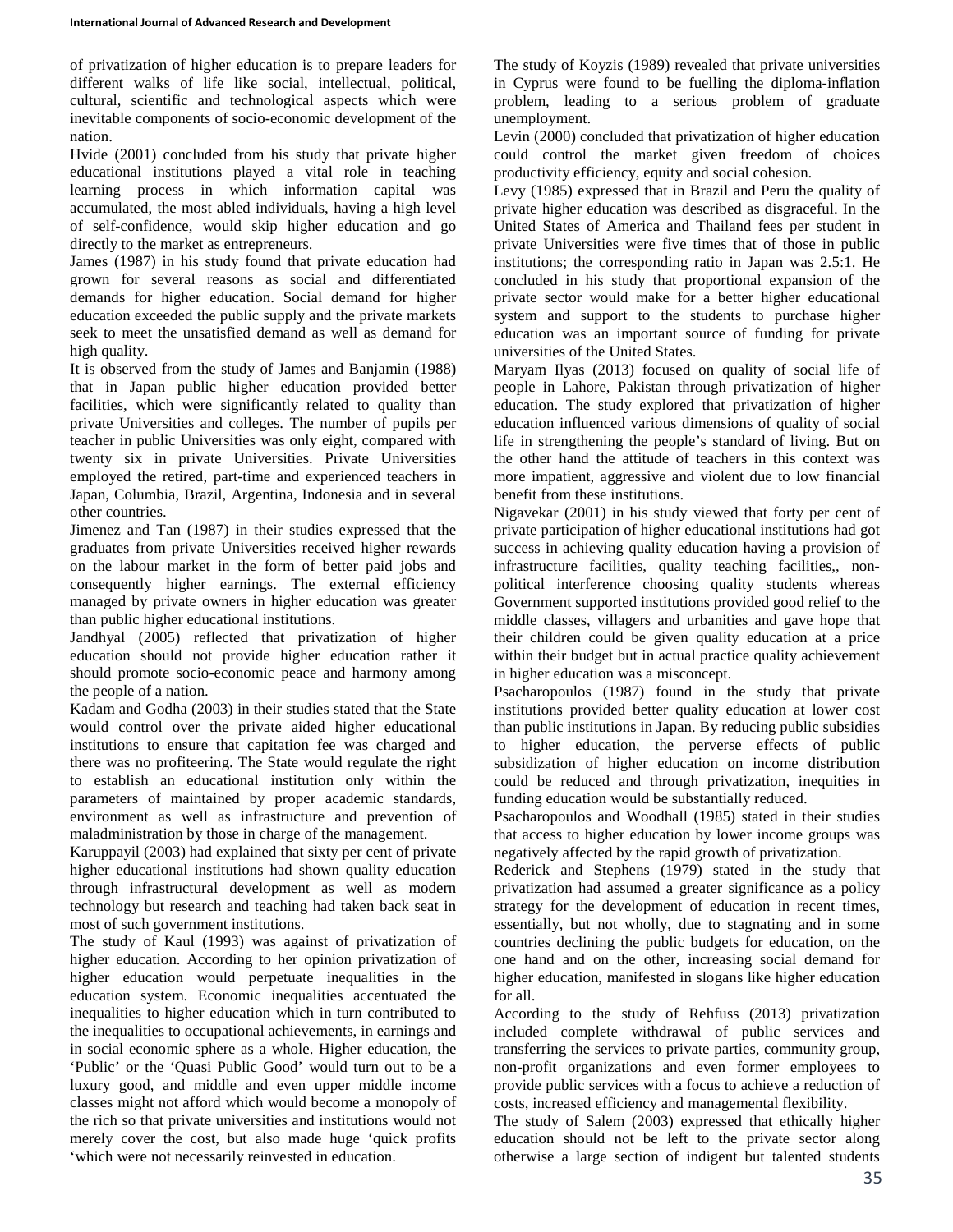of privatization of higher education is to prepare leaders for different walks of life like social, intellectual, political, cultural, scientific and technological aspects which were inevitable components of socio-economic development of the nation.

Hvide (2001) concluded from his study that private higher educational institutions played a vital role in teaching learning process in which information capital was accumulated, the most abled individuals, having a high level of self-confidence, would skip higher education and go directly to the market as entrepreneurs.

James (1987) in his study found that private education had grown for several reasons as social and differentiated demands for higher education. Social demand for higher education exceeded the public supply and the private markets seek to meet the unsatisfied demand as well as demand for high quality.

It is observed from the study of James and Banjamin (1988) that in Japan public higher education provided better facilities, which were significantly related to quality than private Universities and colleges. The number of pupils per teacher in public Universities was only eight, compared with twenty six in private Universities. Private Universities employed the retired, part-time and experienced teachers in Japan, Columbia, Brazil, Argentina, Indonesia and in several other countries.

Jimenez and Tan (1987) in their studies expressed that the graduates from private Universities received higher rewards on the labour market in the form of better paid jobs and consequently higher earnings. The external efficiency managed by private owners in higher education was greater than public higher educational institutions.

Jandhyal (2005) reflected that privatization of higher education should not provide higher education rather it should promote socio-economic peace and harmony among the people of a nation.

Kadam and Godha (2003) in their studies stated that the State would control over the private aided higher educational institutions to ensure that capitation fee was charged and there was no profiteering. The State would regulate the right to establish an educational institution only within the parameters of maintained by proper academic standards, environment as well as infrastructure and prevention of maladministration by those in charge of the management.

Karuppayil (2003) had explained that sixty per cent of private higher educational institutions had shown quality education through infrastructural development as well as modern technology but research and teaching had taken back seat in most of such government institutions.

The study of Kaul (1993) was against of privatization of higher education. According to her opinion privatization of higher education would perpetuate inequalities in the education system. Economic inequalities accentuated the inequalities to higher education which in turn contributed to the inequalities to occupational achievements, in earnings and in social economic sphere as a whole. Higher education, the 'Public' or the 'Quasi Public Good' would turn out to be a luxury good, and middle and even upper middle income classes might not afford which would become a monopoly of the rich so that private universities and institutions would not merely cover the cost, but also made huge 'quick profits 'which were not necessarily reinvested in education.

The study of Koyzis (1989) revealed that private universities in Cyprus were found to be fuelling the diploma-inflation problem, leading to a serious problem of graduate unemployment.

Levin (2000) concluded that privatization of higher education could control the market given freedom of choices productivity efficiency, equity and social cohesion.

Levy (1985) expressed that in Brazil and Peru the quality of private higher education was described as disgraceful. In the United States of America and Thailand fees per student in private Universities were five times that of those in public institutions; the corresponding ratio in Japan was 2.5:1. He concluded in his study that proportional expansion of the private sector would make for a better higher educational system and support to the students to purchase higher education was an important source of funding for private universities of the United States.

Maryam Ilyas (2013) focused on quality of social life of people in Lahore, Pakistan through privatization of higher education. The study explored that privatization of higher education influenced various dimensions of quality of social life in strengthening the people's standard of living. But on the other hand the attitude of teachers in this context was more impatient, aggressive and violent due to low financial benefit from these institutions.

Nigavekar (2001) in his study viewed that forty per cent of private participation of higher educational institutions had got success in achieving quality education having a provision of infrastructure facilities, quality teaching facilities,, nonpolitical interference choosing quality students whereas Government supported institutions provided good relief to the middle classes, villagers and urbanities and gave hope that their children could be given quality education at a price within their budget but in actual practice quality achievement in higher education was a misconcept.

Psacharopoulos (1987) found in the study that private institutions provided better quality education at lower cost than public institutions in Japan. By reducing public subsidies to higher education, the perverse effects of public subsidization of higher education on income distribution could be reduced and through privatization, inequities in funding education would be substantially reduced.

Psacharopoulos and Woodhall (1985) stated in their studies that access to higher education by lower income groups was negatively affected by the rapid growth of privatization.

Rederick and Stephens (1979) stated in the study that privatization had assumed a greater significance as a policy strategy for the development of education in recent times, essentially, but not wholly, due to stagnating and in some countries declining the public budgets for education, on the one hand and on the other, increasing social demand for higher education, manifested in slogans like higher education for all.

According to the study of Rehfuss (2013) privatization included complete withdrawal of public services and transferring the services to private parties, community group, non-profit organizations and even former employees to provide public services with a focus to achieve a reduction of costs, increased efficiency and managemental flexibility.

The study of Salem (2003) expressed that ethically higher education should not be left to the private sector along otherwise a large section of indigent but talented students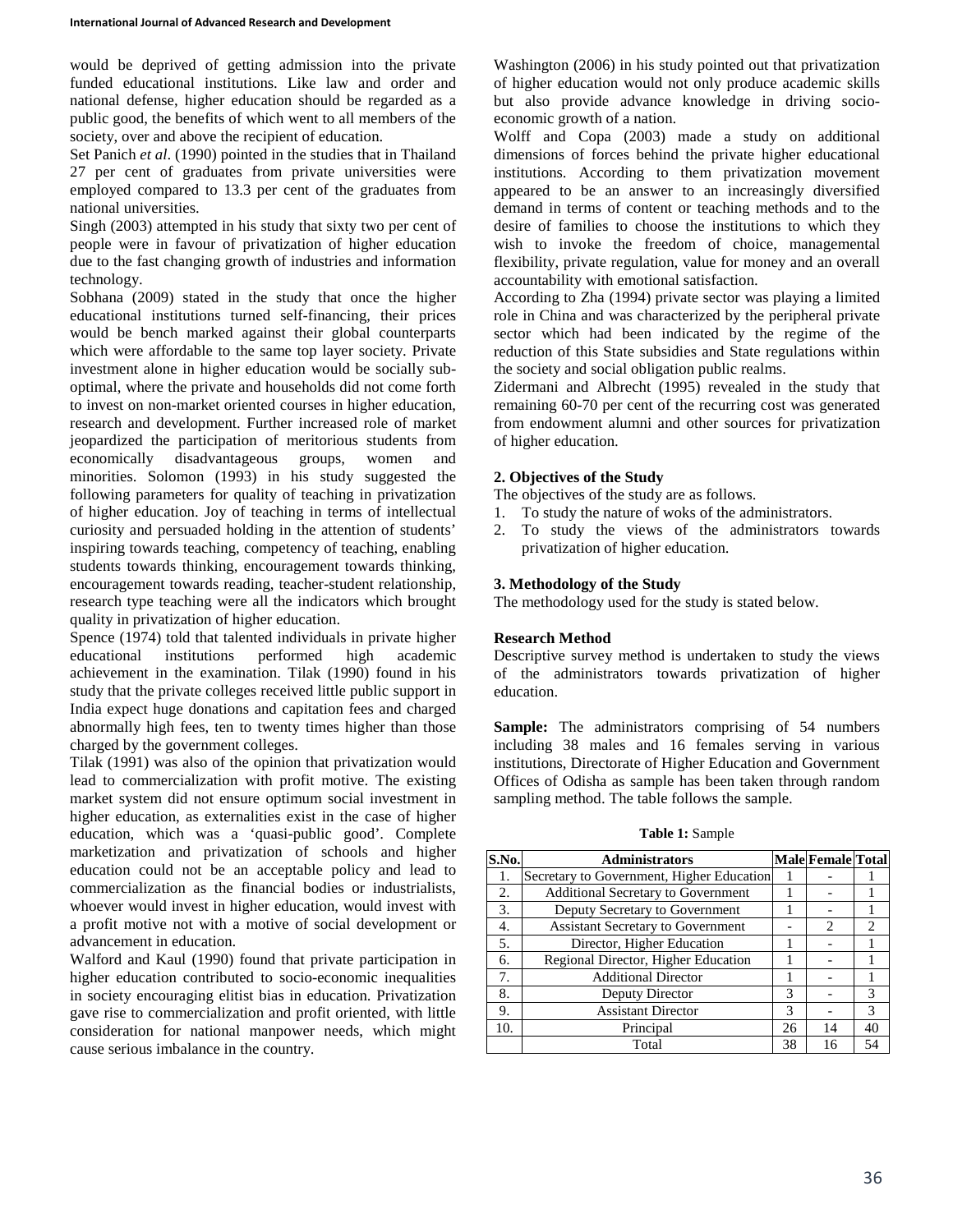would be deprived of getting admission into the private funded educational institutions. Like law and order and national defense, higher education should be regarded as a public good, the benefits of which went to all members of the society, over and above the recipient of education.

Set Panich *et al*. (1990) pointed in the studies that in Thailand 27 per cent of graduates from private universities were employed compared to 13.3 per cent of the graduates from national universities.

Singh (2003) attempted in his study that sixty two per cent of people were in favour of privatization of higher education due to the fast changing growth of industries and information technology.

Sobhana (2009) stated in the study that once the higher educational institutions turned self-financing, their prices would be bench marked against their global counterparts which were affordable to the same top layer society. Private investment alone in higher education would be socially suboptimal, where the private and households did not come forth to invest on non-market oriented courses in higher education, research and development. Further increased role of market jeopardized the participation of meritorious students from economically disadvantageous groups, women and minorities. Solomon (1993) in his study suggested the following parameters for quality of teaching in privatization of higher education. Joy of teaching in terms of intellectual curiosity and persuaded holding in the attention of students' inspiring towards teaching, competency of teaching, enabling students towards thinking, encouragement towards thinking, encouragement towards reading, teacher-student relationship, research type teaching were all the indicators which brought quality in privatization of higher education.

Spence (1974) told that talented individuals in private higher educational institutions performed high academic achievement in the examination. Tilak (1990) found in his study that the private colleges received little public support in India expect huge donations and capitation fees and charged abnormally high fees, ten to twenty times higher than those charged by the government colleges.

Tilak (1991) was also of the opinion that privatization would lead to commercialization with profit motive. The existing market system did not ensure optimum social investment in higher education, as externalities exist in the case of higher education, which was a 'quasi-public good'. Complete marketization and privatization of schools and higher education could not be an acceptable policy and lead to commercialization as the financial bodies or industrialists, whoever would invest in higher education, would invest with a profit motive not with a motive of social development or advancement in education.

Walford and Kaul (1990) found that private participation in higher education contributed to socio-economic inequalities in society encouraging elitist bias in education. Privatization gave rise to commercialization and profit oriented, with little consideration for national manpower needs, which might cause serious imbalance in the country.

Washington (2006) in his study pointed out that privatization of higher education would not only produce academic skills but also provide advance knowledge in driving socioeconomic growth of a nation.

Wolff and Copa (2003) made a study on additional dimensions of forces behind the private higher educational institutions. According to them privatization movement appeared to be an answer to an increasingly diversified demand in terms of content or teaching methods and to the desire of families to choose the institutions to which they wish to invoke the freedom of choice, managemental flexibility, private regulation, value for money and an overall accountability with emotional satisfaction.

According to Zha (1994) private sector was playing a limited role in China and was characterized by the peripheral private sector which had been indicated by the regime of the reduction of this State subsidies and State regulations within the society and social obligation public realms.

Zidermani and Albrecht (1995) revealed in the study that remaining 60-70 per cent of the recurring cost was generated from endowment alumni and other sources for privatization of higher education.

## **2. Objectives of the Study**

The objectives of the study are as follows.

- 1. To study the nature of woks of the administrators.
- 2. To study the views of the administrators towards privatization of higher education.

### **3. Methodology of the Study**

The methodology used for the study is stated below.

### **Research Method**

Descriptive survey method is undertaken to study the views of the administrators towards privatization of higher education.

**Sample:** The administrators comprising of 54 numbers including 38 males and 16 females serving in various institutions, Directorate of Higher Education and Government Offices of Odisha as sample has been taken through random sampling method. The table follows the sample.

**S.No. Administrators Male Female Total** 1. Secretary to Government, Higher Education 1 - 1 2. Additional Secretary to Government 1 - 1<br>3. Deputy Secretary to Government 1 - 1 3. Deputy Secretary to Government 1 - 1<br>4. Assistant Secretary to Government - 2 2 4. Assistant Secretary to Government -<br>5. Director, Higher Education 1 Director, Higher Education 1 - 1<br>
onal Director, Higher Education 1 - 1 6. Regional Director, Higher Education 1 - 1 7. Additional Director 1 - 1 8. Deputy Director 3 - 3 9. Assistant Director 3 - 3<br>10. Principal 26 14 40 Principal 26 14 40 Total 38 16 54

**Table 1:** Sample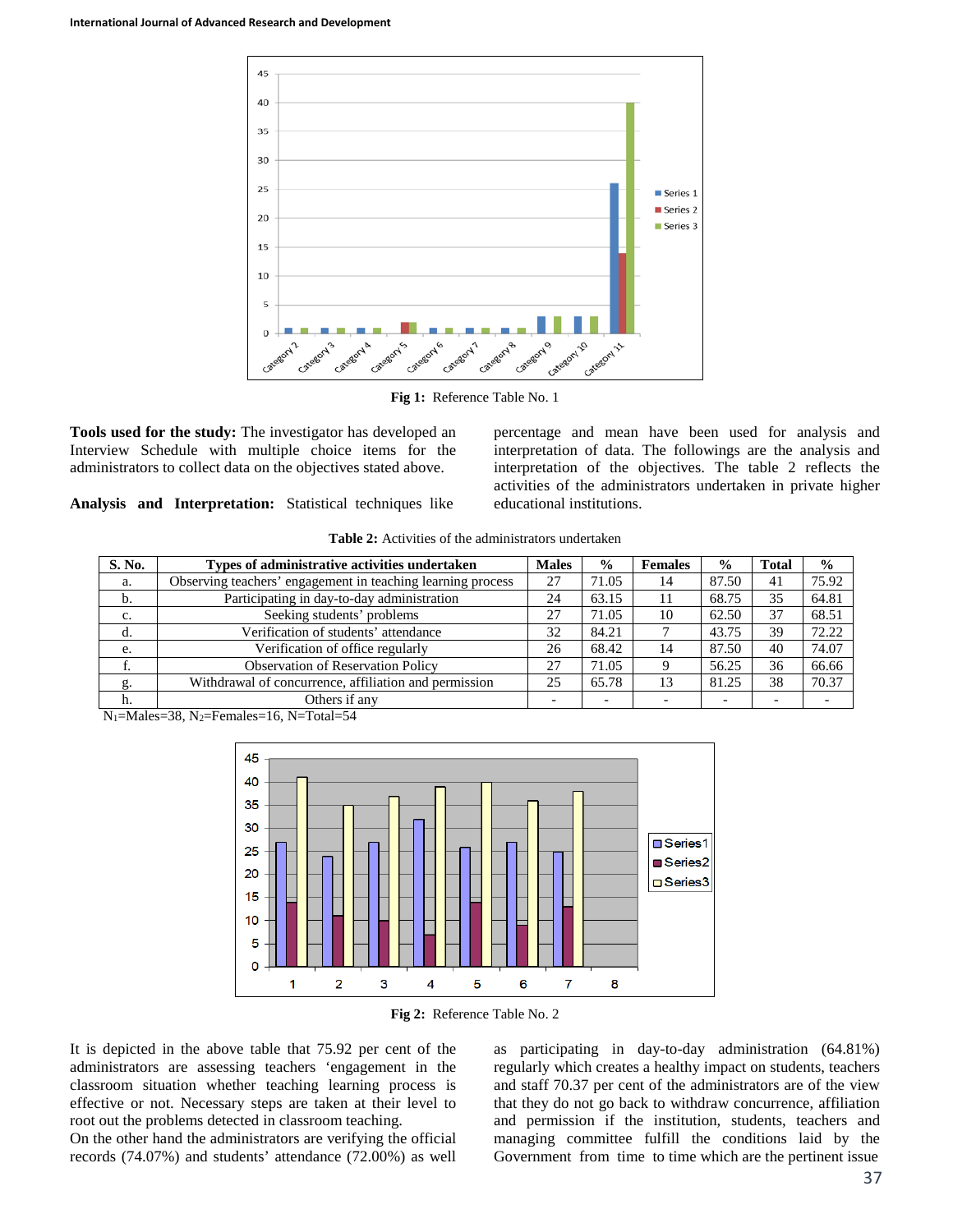

**Fig 1:** Reference Table No. 1

**Tools used for the study:** The investigator has developed an Interview Schedule with multiple choice items for the administrators to collect data on the objectives stated above.

percentage and mean have been used for analysis and interpretation of data. The followings are the analysis and interpretation of the objectives. The table 2 reflects the activities of the administrators undertaken in private higher educational institutions.

**Analysis and Interpretation:** Statistical techniques like

| S. No. | Types of administrative activities undertaken               | <b>Males</b> | $\frac{0}{0}$ | <b>Females</b> | $\frac{0}{0}$ | <b>Total</b> | $\frac{6}{9}$ |
|--------|-------------------------------------------------------------|--------------|---------------|----------------|---------------|--------------|---------------|
| a.     | Observing teachers' engagement in teaching learning process | 27           | 71.05         | 14             | 87.50         | 41           | 75.92         |
| b.     | Participating in day-to-day administration                  | 24           | 63.15         |                | 68.75         | 35           | 64.81         |
| c.     | Seeking students' problems                                  | 27           | 71.05         | 10             | 62.50         | 37           | 68.51         |
| d.     | Verification of students' attendance                        | 32           | 84.21         |                | 43.75         | 39           | 72.22         |
| e.     | Verification of office regularly                            | 26           | 68.42         | 14             | 87.50         | 40           | 74.07         |
|        | <b>Observation of Reservation Policy</b>                    | 27           | 71.05         |                | 56.25         | 36           | 66.66         |
| g.     | Withdrawal of concurrence, affiliation and permission       | 25           | 65.78         |                | 81.25         | 38           | 70.37         |

|  | <b>Table 2:</b> Activities of the administrators undertaken |
|--|-------------------------------------------------------------|
|--|-------------------------------------------------------------|

N1=Males=38, N2=Females=16, N=Total=54

h. Others if any





It is depicted in the above table that 75.92 per cent of the administrators are assessing teachers 'engagement in the classroom situation whether teaching learning process is effective or not. Necessary steps are taken at their level to root out the problems detected in classroom teaching.

On the other hand the administrators are verifying the official records (74.07%) and students' attendance (72.00%) as well

as participating in day-to-day administration (64.81%) regularly which creates a healthy impact on students, teachers and staff 70.37 per cent of the administrators are of the view that they do not go back to withdraw concurrence, affiliation and permission if the institution, students, teachers and managing committee fulfill the conditions laid by the Government from time to time which are the pertinent issue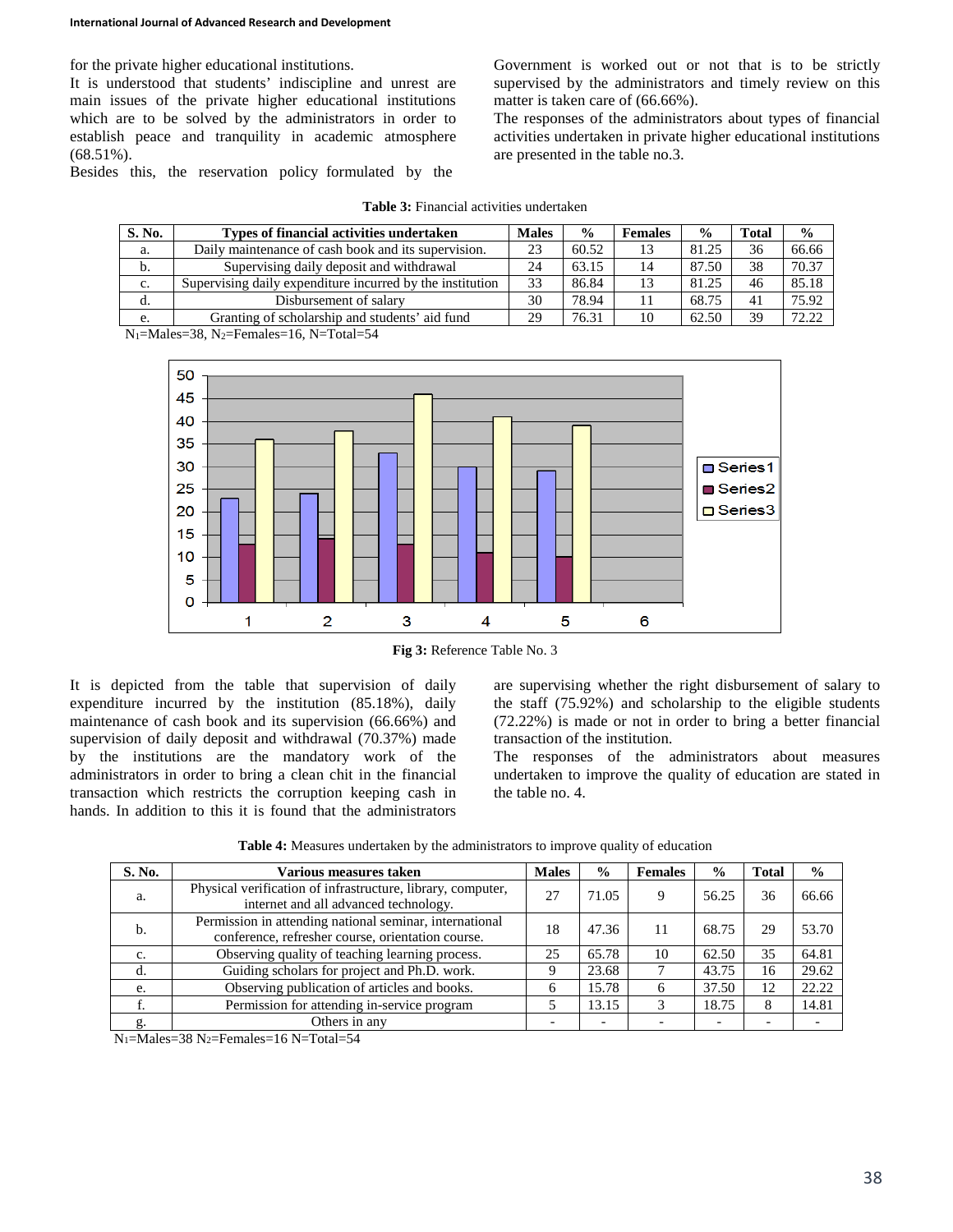for the private higher educational institutions.

It is understood that students' indiscipline and unrest are main issues of the private higher educational institutions which are to be solved by the administrators in order to establish peace and tranquility in academic atmosphere (68.51%).

Besides this, the reservation policy formulated by the

Government is worked out or not that is to be strictly supervised by the administrators and timely review on this matter is taken care of (66.66%).

The responses of the administrators about types of financial activities undertaken in private higher educational institutions are presented in the table no.3.

| S. No. | Types of financial activities undertaken                  | <b>Males</b> | $\frac{0}{0}$ | <b>Females</b> | $\frac{0}{0}$ | <b>Total</b> | $\frac{0}{0}$ |
|--------|-----------------------------------------------------------|--------------|---------------|----------------|---------------|--------------|---------------|
| a.     | Daily maintenance of cash book and its supervision.       |              | 60.52         |                | 81.25         | 36           | 66.66         |
| b.     | Supervising daily deposit and withdrawal                  | 24           | 63.15         | 14             | 87.50         | 38           | 70.37         |
| c.     | Supervising daily expenditure incurred by the institution | 33           | 86.84         |                | 81.25         | 46           | 85.18         |
| d.     | Disbursement of salary                                    | 30           | 78.94         |                | 68.75         | 41           | 75.92         |
| e.     | Granting of scholarship and students' aid fund            | 29           | 76.31         | 10             | 62.50         | 39           | 72.22         |

N1=Males=38, N2=Females=16, N=Total=54



**Fig 3:** Reference Table No. 3

It is depicted from the table that supervision of daily expenditure incurred by the institution (85.18%), daily maintenance of cash book and its supervision (66.66%) and supervision of daily deposit and withdrawal (70.37%) made by the institutions are the mandatory work of the administrators in order to bring a clean chit in the financial transaction which restricts the corruption keeping cash in hands. In addition to this it is found that the administrators

are supervising whether the right disbursement of salary to the staff (75.92%) and scholarship to the eligible students (72.22%) is made or not in order to bring a better financial transaction of the institution.

The responses of the administrators about measures undertaken to improve the quality of education are stated in the table no. 4.

**Table 4:** Measures undertaken by the administrators to improve quality of education

| S. No. | Various measures taken                                                                                       | <b>Males</b> | $\frac{6}{9}$ | <b>Females</b> | $\frac{6}{9}$ | <b>Total</b> | $\frac{0}{0}$ |
|--------|--------------------------------------------------------------------------------------------------------------|--------------|---------------|----------------|---------------|--------------|---------------|
| a.     | Physical verification of infrastructure, library, computer,<br>internet and all advanced technology.         |              | 71.05         | 9              | 56.25         | 36           | 66.66         |
| b.     | Permission in attending national seminar, international<br>conference, refresher course, orientation course. | 18           | 47.36         | 11             | 68.75         | 29           | 53.70         |
| c.     | Observing quality of teaching learning process.                                                              | 25           | 65.78         | 10             | 62.50         | 35           | 64.81         |
| d.     | Guiding scholars for project and Ph.D. work.                                                                 |              | 23.68         |                | 43.75         | 16           | 29.62         |
| e.     | Observing publication of articles and books.                                                                 |              | 15.78         | 6              | 37.50         | 12           | 22.22         |
|        | Permission for attending in-service program                                                                  |              | 13.15         |                | 18.75         |              | 14.81         |
| g.     | Others in any                                                                                                |              |               |                |               |              |               |

N1=Males=38 N2=Females=16 N=Total=54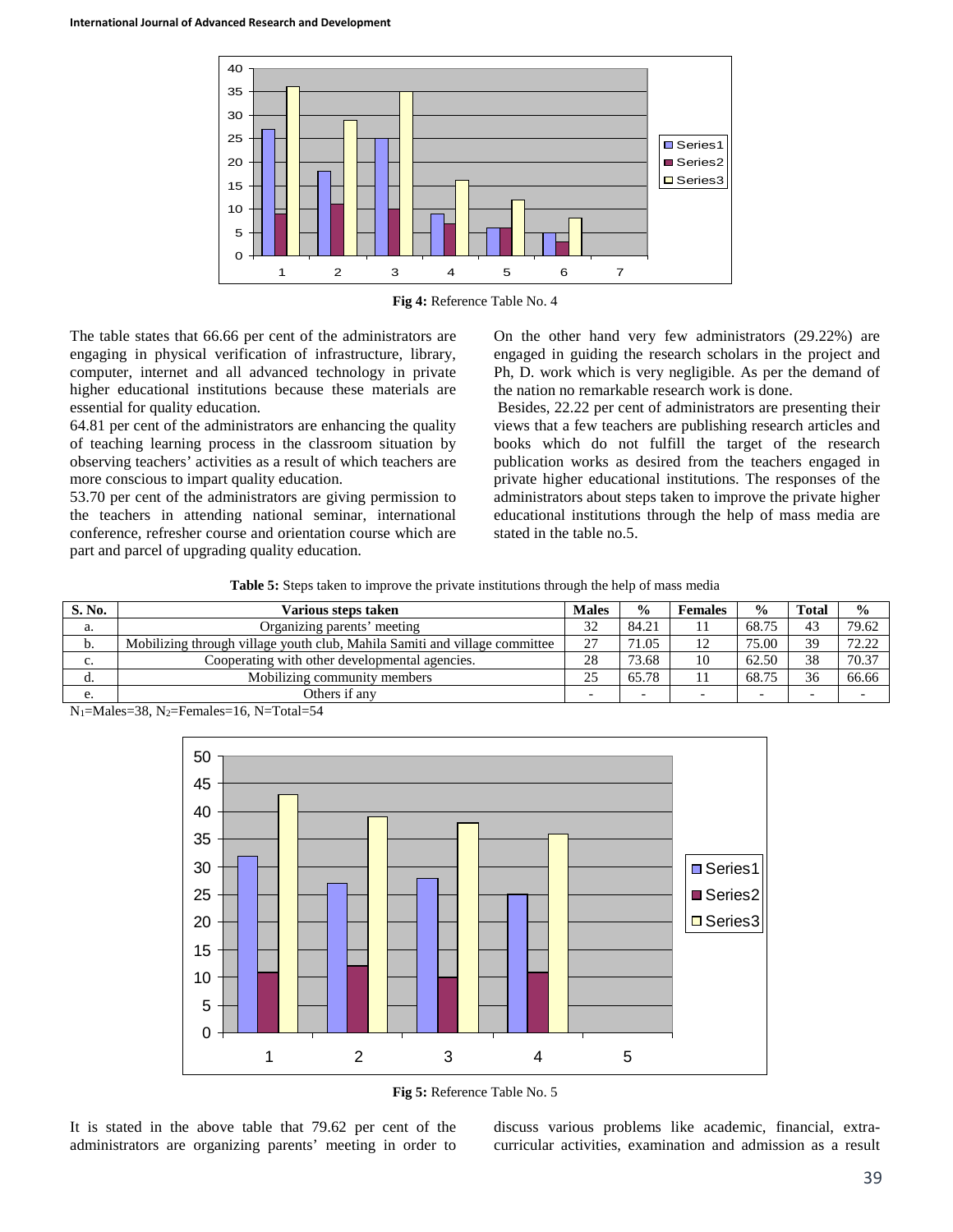

**Fig 4:** Reference Table No. 4

The table states that 66.66 per cent of the administrators are engaging in physical verification of infrastructure, library, computer, internet and all advanced technology in private higher educational institutions because these materials are essential for quality education.

64.81 per cent of the administrators are enhancing the quality of teaching learning process in the classroom situation by observing teachers' activities as a result of which teachers are more conscious to impart quality education.

53.70 per cent of the administrators are giving permission to the teachers in attending national seminar, international conference, refresher course and orientation course which are part and parcel of upgrading quality education.

On the other hand very few administrators (29.22%) are engaged in guiding the research scholars in the project and Ph, D. work which is very negligible. As per the demand of the nation no remarkable research work is done.

Besides, 22.22 per cent of administrators are presenting their views that a few teachers are publishing research articles and books which do not fulfill the target of the research publication works as desired from the teachers engaged in private higher educational institutions. The responses of the administrators about steps taken to improve the private higher educational institutions through the help of mass media are stated in the table no.5.

**Table 5:** Steps taken to improve the private institutions through the help of mass media

| S. No. | <b>Males</b><br>Various steps taken                                        |    | $\frac{0}{0}$            | <b>Females</b> | $\frac{0}{0}$ | Total | $\frac{0}{0}$ |
|--------|----------------------------------------------------------------------------|----|--------------------------|----------------|---------------|-------|---------------|
| а.     | Organizing parents' meeting                                                | 32 | 84.21                    |                | 68.75         | 43    | 79.62         |
| D.     | Mobilizing through village youth club, Mahila Samiti and village committee | 27 | 71.05                    | 12             | 75.00         | 39    | 72.22         |
| c.     | Cooperating with other developmental agencies.                             | 28 | 73.68                    | 10             | 62.50         | 38    | 70.37         |
| u.     | Mobilizing community members                                               | 25 | 65.78                    |                | 68.75         | 36    | 66.66         |
| e.     | Others if any                                                              |    | $\overline{\phantom{0}}$ |                |               |       |               |

 $N_1$ =Males=38, N<sub>2</sub>=Females=16, N=Total=54



**Fig 5:** Reference Table No. 5

It is stated in the above table that 79.62 per cent of the administrators are organizing parents' meeting in order to discuss various problems like academic, financial, extracurricular activities, examination and admission as a result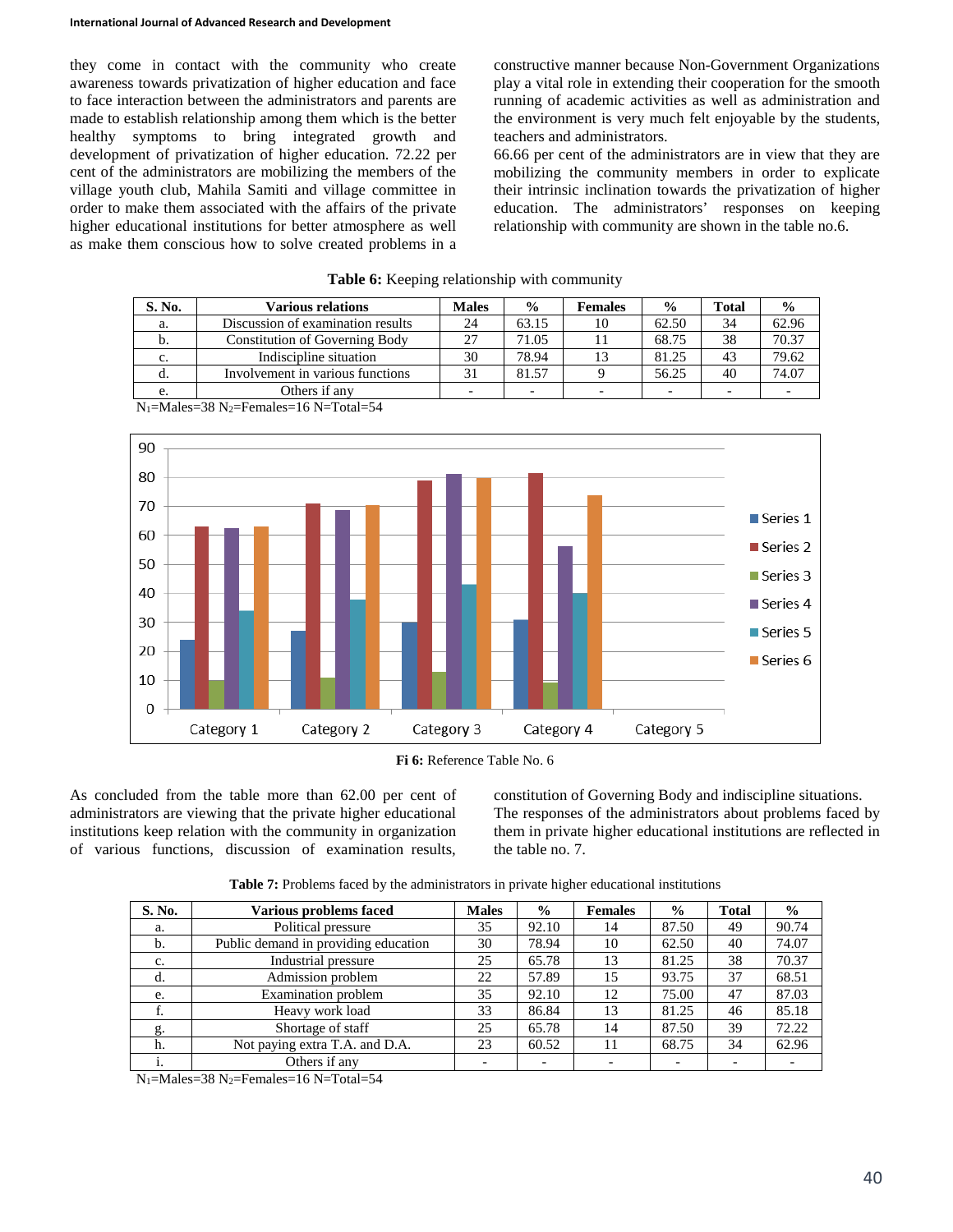they come in contact with the community who create awareness towards privatization of higher education and face to face interaction between the administrators and parents are made to establish relationship among them which is the better healthy symptoms to bring integrated growth and development of privatization of higher education. 72.22 per cent of the administrators are mobilizing the members of the village youth club, Mahila Samiti and village committee in order to make them associated with the affairs of the private higher educational institutions for better atmosphere as well as make them conscious how to solve created problems in a constructive manner because Non-Government Organizations play a vital role in extending their cooperation for the smooth running of academic activities as well as administration and the environment is very much felt enjoyable by the students, teachers and administrators.

66.66 per cent of the administrators are in view that they are mobilizing the community members in order to explicate their intrinsic inclination towards the privatization of higher education. The administrators' responses on keeping relationship with community are shown in the table no.6.

| S. No. | <b>Various relations</b>                                  | <b>Males</b> | $\frac{0}{0}$            | <b>Females</b> | $\frac{0}{0}$ | <b>Total</b> | $\frac{0}{0}$ |
|--------|-----------------------------------------------------------|--------------|--------------------------|----------------|---------------|--------------|---------------|
| a.     | Discussion of examination results                         | 24           | 63.15                    | 10             | 62.50         | 34           | 62.96         |
| b.     | Constitution of Governing Body                            | 27           | 71.05                    |                | 68.75         | 38           | 70.37         |
| c.     | Indiscipline situation                                    | 30           | 78.94                    |                | 81.25         | 43           | 79.62         |
| d.     | Involvement in various functions                          | 31           | 81.57                    |                | 56.25         | 40           | 74.07         |
| e.     | Others if any                                             |              | $\overline{\phantom{0}}$ |                |               |              |               |
|        | $N_1-M_2$ les $-38$ $N_2$ -Eemales $-16$ $N$ -Total $-54$ |              |                          |                |               |              |               |

|  |  | Table 6: Keeping relationship with community |  |  |
|--|--|----------------------------------------------|--|--|
|--|--|----------------------------------------------|--|--|



N1=Males=38 N2=Females=16 N=Total=54

**Fi 6:** Reference Table No. 6

As concluded from the table more than 62.00 per cent of administrators are viewing that the private higher educational institutions keep relation with the community in organization of various functions, discussion of examination results, constitution of Governing Body and indiscipline situations. The responses of the administrators about problems faced by them in private higher educational institutions are reflected in the table no. 7.

**Table 7:** Problems faced by the administrators in private higher educational institutions

| S. No. | Various problems faced               | <b>Males</b> | $\frac{6}{6}$ | <b>Females</b> | $\frac{0}{0}$ | <b>Total</b> | $\frac{0}{0}$ |
|--------|--------------------------------------|--------------|---------------|----------------|---------------|--------------|---------------|
| a.     | Political pressure                   | 35           | 92.10         | 14             | 87.50         | 49           | 90.74         |
| b.     | Public demand in providing education | 30           | 78.94         | 10             | 62.50         | 40           | 74.07         |
| c.     | Industrial pressure                  | 25           | 65.78         | 13             | 81.25         | 38           | 70.37         |
| d.     | Admission problem                    | 22           | 57.89         | 15             | 93.75         | 37           | 68.51         |
| e.     | <b>Examination</b> problem           | 35           | 92.10         | 12             | 75.00         | 47           | 87.03         |
| ı.     | Heavy work load                      | 33           | 86.84         | 13             | 81.25         | 46           | 85.18         |
| g.     | Shortage of staff                    | 25           | 65.78         | 14             | 87.50         | 39           | 72.22         |
| h.     | Not paying extra T.A. and D.A.       | 23           | 60.52         | 11             | 68.75         | 34           | 62.96         |
| 1.     | Others if any                        |              |               |                |               |              |               |

 $N_1$ =Males=38  $N_2$ =Females=16 N=Total=54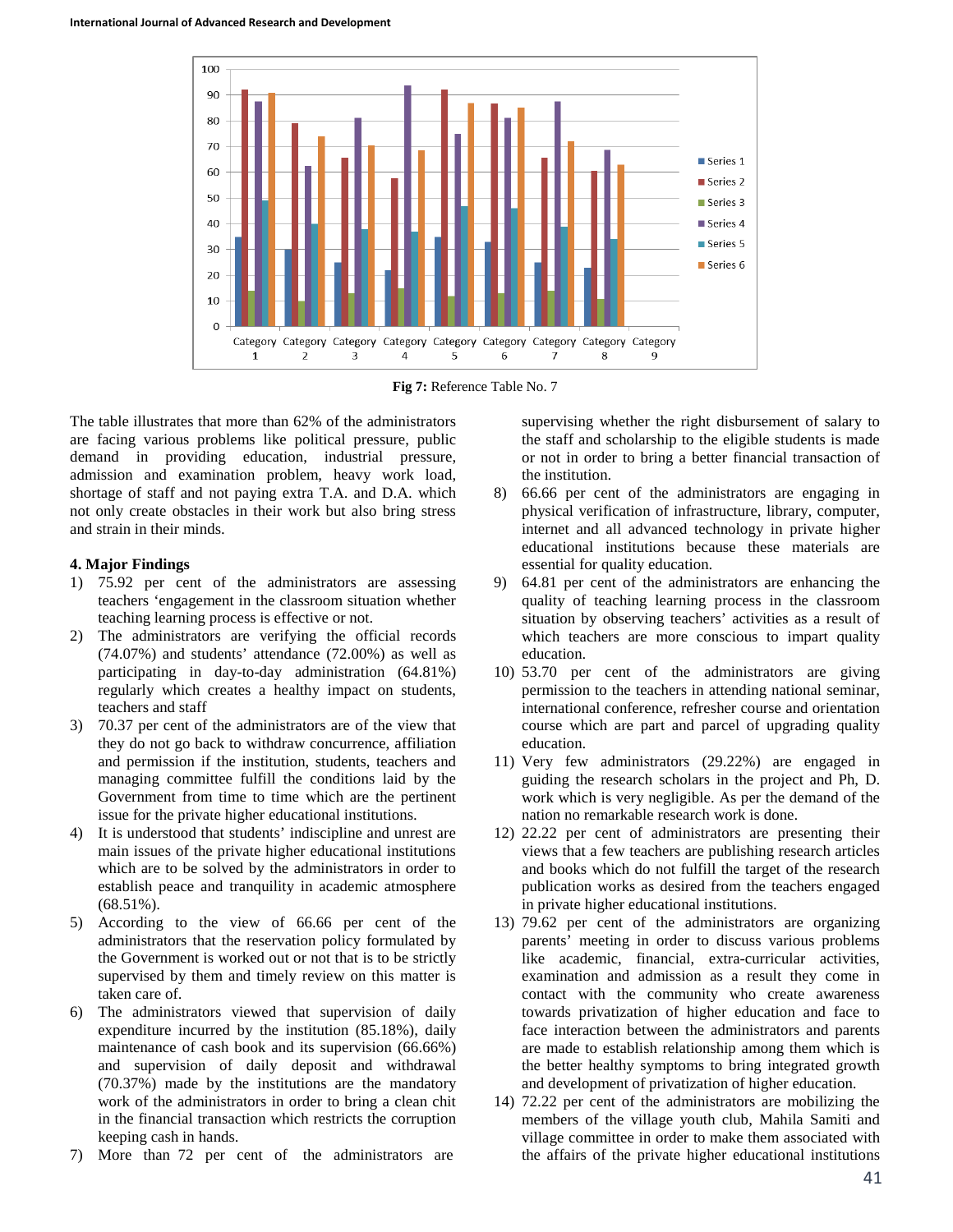

**Fig 7:** Reference Table No. 7

The table illustrates that more than 62% of the administrators are facing various problems like political pressure, public demand in providing education, industrial pressure, admission and examination problem, heavy work load, shortage of staff and not paying extra T.A. and D.A. which not only create obstacles in their work but also bring stress and strain in their minds.

#### **4. Major Findings**

- 1) 75.92 per cent of the administrators are assessing teachers 'engagement in the classroom situation whether teaching learning process is effective or not.
- 2) The administrators are verifying the official records (74.07%) and students' attendance (72.00%) as well as participating in day-to-day administration (64.81%) regularly which creates a healthy impact on students, teachers and staff
- 3) 70.37 per cent of the administrators are of the view that they do not go back to withdraw concurrence, affiliation and permission if the institution, students, teachers and managing committee fulfill the conditions laid by the Government from time to time which are the pertinent issue for the private higher educational institutions.
- 4) It is understood that students' indiscipline and unrest are main issues of the private higher educational institutions which are to be solved by the administrators in order to establish peace and tranquility in academic atmosphere  $(68.51\%)$ .
- 5) According to the view of 66.66 per cent of the administrators that the reservation policy formulated by the Government is worked out or not that is to be strictly supervised by them and timely review on this matter is taken care of.
- 6) The administrators viewed that supervision of daily expenditure incurred by the institution (85.18%), daily maintenance of cash book and its supervision (66.66%) and supervision of daily deposit and withdrawal (70.37%) made by the institutions are the mandatory work of the administrators in order to bring a clean chit in the financial transaction which restricts the corruption keeping cash in hands.
- 7) More than 72 per cent of the administrators are

supervising whether the right disbursement of salary to the staff and scholarship to the eligible students is made or not in order to bring a better financial transaction of the institution.

- 8) 66.66 per cent of the administrators are engaging in physical verification of infrastructure, library, computer, internet and all advanced technology in private higher educational institutions because these materials are essential for quality education.
- 9) 64.81 per cent of the administrators are enhancing the quality of teaching learning process in the classroom situation by observing teachers' activities as a result of which teachers are more conscious to impart quality education.
- 10) 53.70 per cent of the administrators are giving permission to the teachers in attending national seminar, international conference, refresher course and orientation course which are part and parcel of upgrading quality education.
- 11) Very few administrators (29.22%) are engaged in guiding the research scholars in the project and Ph, D. work which is very negligible. As per the demand of the nation no remarkable research work is done.
- 12) 22.22 per cent of administrators are presenting their views that a few teachers are publishing research articles and books which do not fulfill the target of the research publication works as desired from the teachers engaged in private higher educational institutions.
- 13) 79.62 per cent of the administrators are organizing parents' meeting in order to discuss various problems like academic, financial, extra-curricular activities, examination and admission as a result they come in contact with the community who create awareness towards privatization of higher education and face to face interaction between the administrators and parents are made to establish relationship among them which is the better healthy symptoms to bring integrated growth and development of privatization of higher education.
- 14) 72.22 per cent of the administrators are mobilizing the members of the village youth club, Mahila Samiti and village committee in order to make them associated with the affairs of the private higher educational institutions